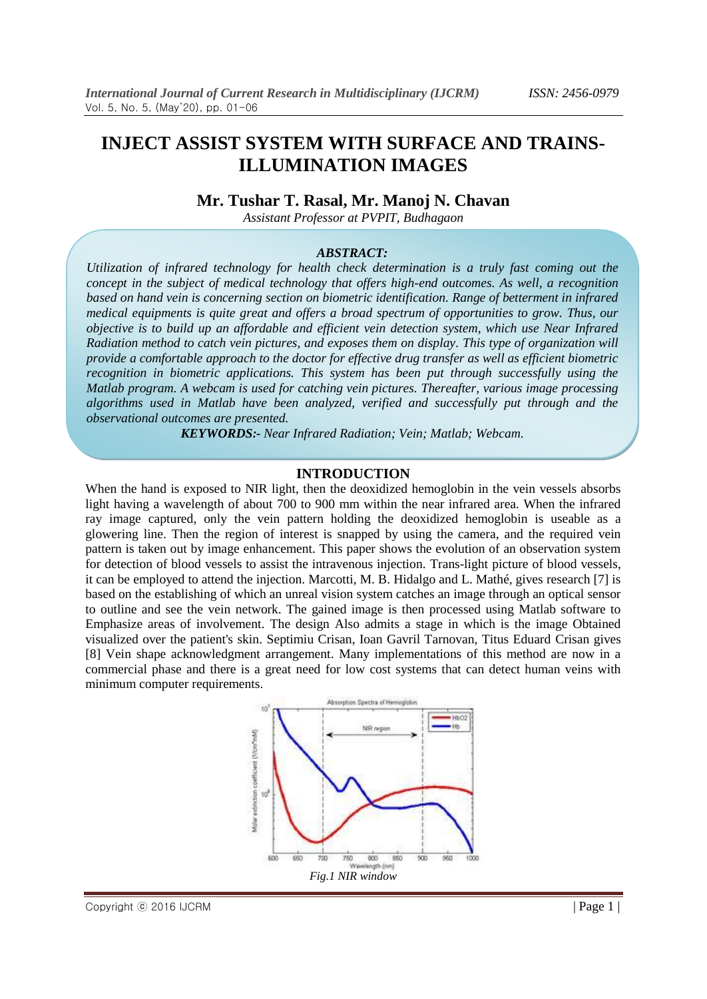# **INJECT ASSIST SYSTEM WITH SURFACE AND TRAINS-ILLUMINATION IMAGES**

## **Mr. Tushar T. Rasal, Mr. Manoj N. Chavan**

*Assistant Professor at PVPIT, Budhagaon*

#### *ABSTRACT:*

*Utilization of infrared technology for health check determination is a truly fast coming out the concept in the subject of medical technology that offers high-end outcomes. As well, a recognition based on hand vein is concerning section on biometric identification. Range of betterment in infrared medical equipments is quite great and offers a broad spectrum of opportunities to grow. Thus, our objective is to build up an affordable and efficient vein detection system, which use Near Infrared Radiation method to catch vein pictures, and exposes them on display. This type of organization will provide a comfortable approach to the doctor for effective drug transfer as well as efficient biometric recognition in biometric applications. This system has been put through successfully using the Matlab program. A webcam is used for catching vein pictures. Thereafter, various image processing algorithms used in Matlab have been analyzed, verified and successfully put through and the observational outcomes are presented.*

*KEYWORDS:- Near Infrared Radiation; Vein; Matlab; Webcam.*

#### **INTRODUCTION**

When the hand is exposed to NIR light, then the deoxidized hemoglobin in the vein vessels absorbs light having a wavelength of about 700 to 900 mm within the near infrared area. When the infrared ray image captured, only the vein pattern holding the deoxidized hemoglobin is useable as a glowering line. Then the region of interest is snapped by using the camera, and the required vein pattern is taken out by image enhancement. This paper shows the evolution of an observation system for detection of blood vessels to assist the intravenous injection. Trans-light picture of blood vessels, it can be employed to attend the injection. Marcotti, M. B. Hidalgo and L. Mathé, gives research [7] is based on the establishing of which an unreal vision system catches an image through an optical sensor to outline and see the vein network. The gained image is then processed using Matlab software to Emphasize areas of involvement. The design Also admits a stage in which is the image Obtained visualized over the patient's skin. Septimiu Crisan, Ioan Gavril Tarnovan, Titus Eduard Crisan gives [8] Vein shape acknowledgment arrangement. Many implementations of this method are now in a commercial phase and there is a great need for low cost systems that can detect human veins with minimum computer requirements.

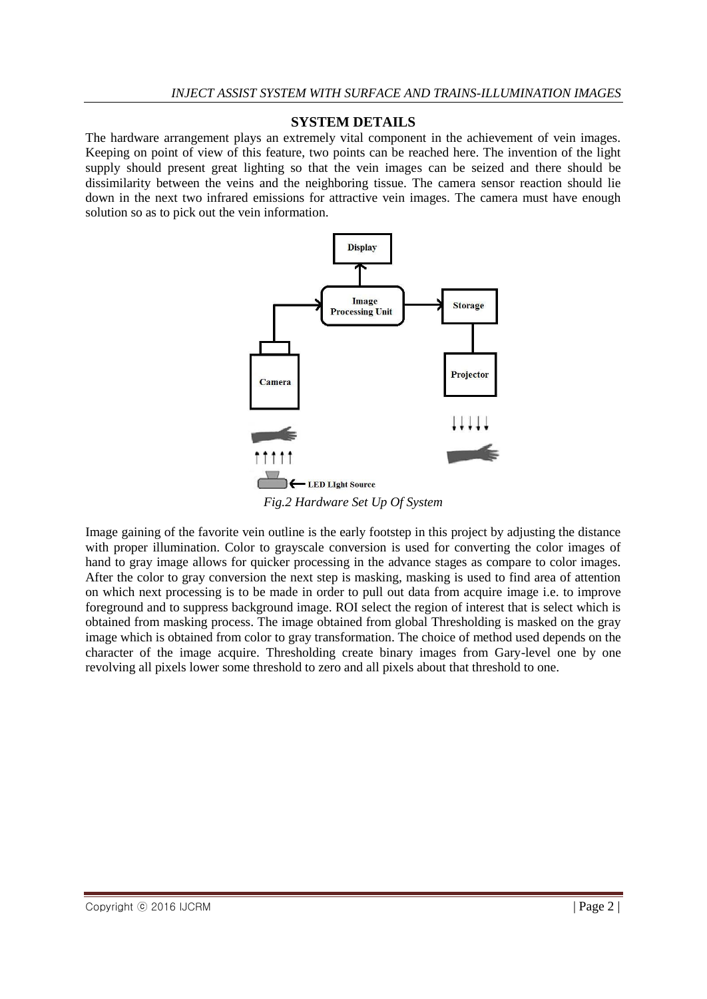## **SYSTEM DETAILS**

The hardware arrangement plays an extremely vital component in the achievement of vein images. Keeping on point of view of this feature, two points can be reached here. The invention of the light supply should present great lighting so that the vein images can be seized and there should be dissimilarity between the veins and the neighboring tissue. The camera sensor reaction should lie down in the next two infrared emissions for attractive vein images. The camera must have enough solution so as to pick out the vein information.



*Fig.2 Hardware Set Up Of System*

Image gaining of the favorite vein outline is the early footstep in this project by adjusting the distance with proper illumination. Color to grayscale conversion is used for converting the color images of hand to gray image allows for quicker processing in the advance stages as compare to color images. After the color to gray conversion the next step is masking, masking is used to find area of attention on which next processing is to be made in order to pull out data from acquire image i.e. to improve foreground and to suppress background image. ROI select the region of interest that is select which is obtained from masking process. The image obtained from global Thresholding is masked on the gray image which is obtained from color to gray transformation. The choice of method used depends on the character of the image acquire. Thresholding create binary images from Gary-level one by one revolving all pixels lower some threshold to zero and all pixels about that threshold to one.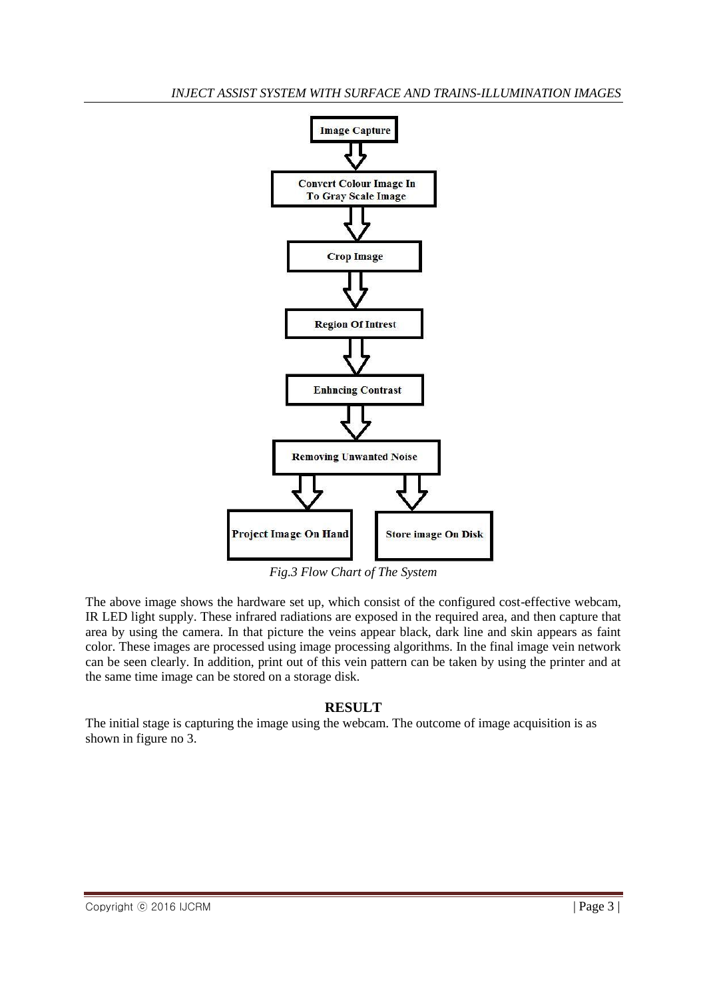

*Fig.3 Flow Chart of The System*

The above image shows the hardware set up, which consist of the configured cost-effective webcam, IR LED light supply. These infrared radiations are exposed in the required area, and then capture that area by using the camera. In that picture the veins appear black, dark line and skin appears as faint color. These images are processed using image processing algorithms. In the final image vein network can be seen clearly. In addition, print out of this vein pattern can be taken by using the printer and at the same time image can be stored on a storage disk.

# **RESULT**

The initial stage is capturing the image using the webcam. The outcome of image acquisition is as shown in figure no 3.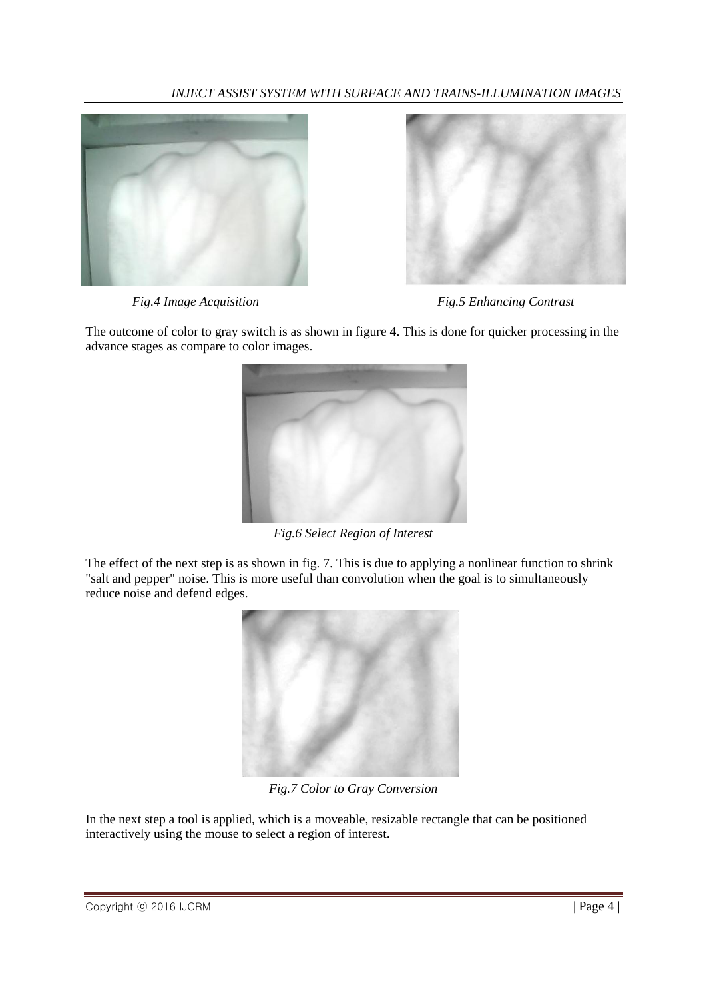# *INJECT ASSIST SYSTEM WITH SURFACE AND TRAINS-ILLUMINATION IMAGES*





*Fig.4 Image Acquisition Fig.5 Enhancing Contrast*

The outcome of color to gray switch is as shown in figure 4. This is done for quicker processing in the advance stages as compare to color images.



*Fig.6 Select Region of Interest*

The effect of the next step is as shown in fig. 7. This is due to applying a nonlinear function to shrink "salt and pepper" noise. This is more useful than convolution when the goal is to simultaneously reduce noise and defend edges.



*Fig.7 Color to Gray Conversion*

In the next step a tool is applied, which is a moveable, resizable rectangle that can be positioned interactively using the mouse to select a region of interest.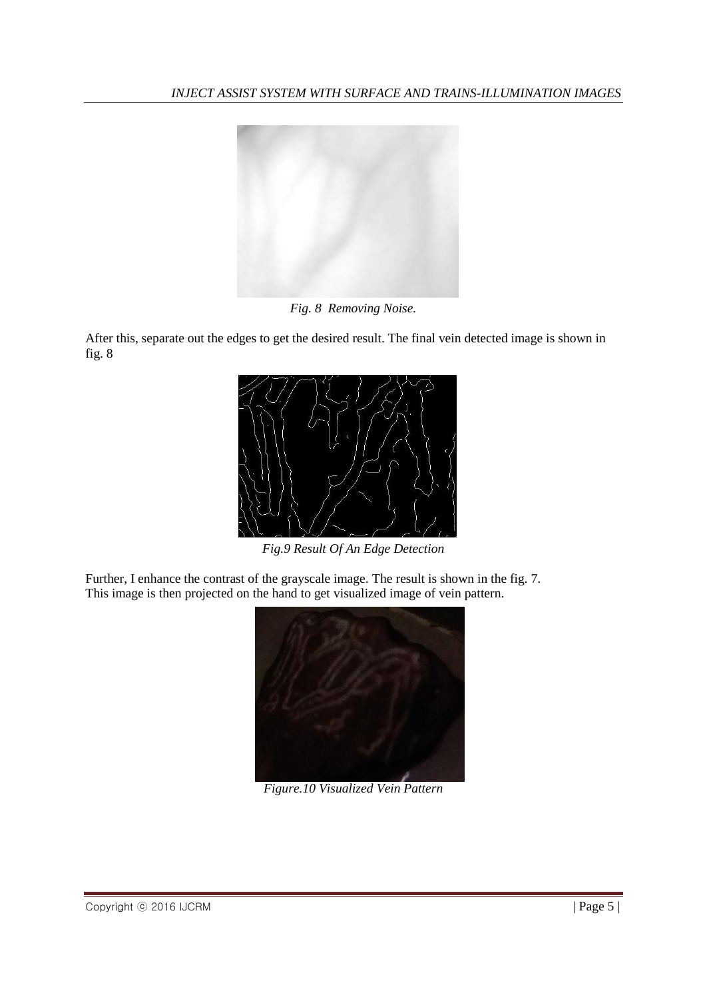

*Fig. 8 Removing Noise.*

After this, separate out the edges to get the desired result. The final vein detected image is shown in fig. 8



*Fig.9 Result Of An Edge Detection*

Further, I enhance the contrast of the grayscale image. The result is shown in the fig. 7. This image is then projected on the hand to get visualized image of vein pattern.



*Figure.10 Visualized Vein Pattern*